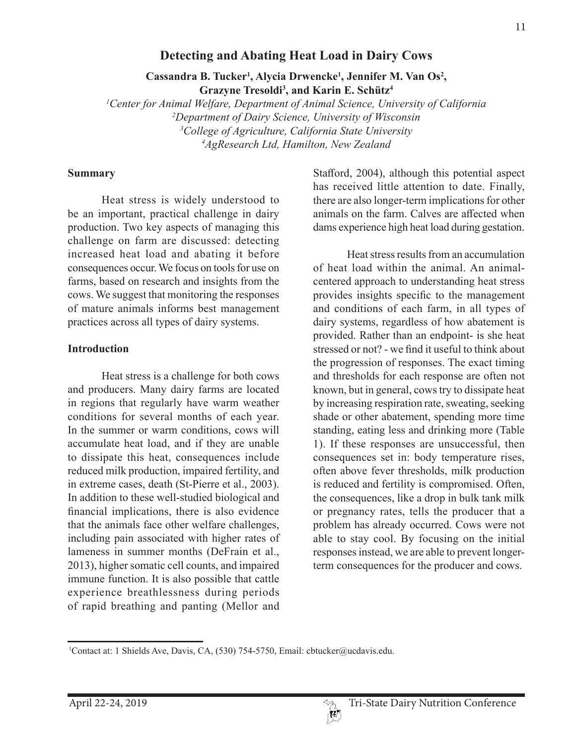#### 11

### **Detecting and Abating Heat Load in Dairy Cows**

Cassandra B. Tucker<sup>1</sup>, Alycia Drwencke<sup>1</sup>, Jennifer M. Van Os<sup>2</sup>, **Grazyne Tresoldi3 , and Karin E. Schütz4**

 *Center for Animal Welfare, Department of Animal Science, University of California Department of Dairy Science, University of Wisconsin College of Agriculture, California State University AgResearch Ltd, Hamilton, New Zealand*

#### **Summary**

Heat stress is widely understood to be an important, practical challenge in dairy production. Two key aspects of managing this challenge on farm are discussed: detecting increased heat load and abating it before consequences occur. We focus on tools for use on farms, based on research and insights from the cows. We suggest that monitoring the responses of mature animals informs best management practices across all types of dairy systems.

#### **Introduction**

Heat stress is a challenge for both cows and producers. Many dairy farms are located in regions that regularly have warm weather conditions for several months of each year. In the summer or warm conditions, cows will accumulate heat load, and if they are unable to dissipate this heat, consequences include reduced milk production, impaired fertility, and in extreme cases, death (St-Pierre et al., 2003). In addition to these well-studied biological and financial implications, there is also evidence that the animals face other welfare challenges, including pain associated with higher rates of lameness in summer months (DeFrain et al., 2013), higher somatic cell counts, and impaired immune function. It is also possible that cattle experience breathlessness during periods of rapid breathing and panting (Mellor and

Stafford, 2004), although this potential aspect has received little attention to date. Finally, there are also longer-term implications for other animals on the farm. Calves are affected when dams experience high heat load during gestation.

Heat stress results from an accumulation of heat load within the animal. An animalcentered approach to understanding heat stress provides insights specific to the management and conditions of each farm, in all types of dairy systems, regardless of how abatement is provided. Rather than an endpoint- is she heat stressed or not? - we find it useful to think about the progression of responses. The exact timing and thresholds for each response are often not known, but in general, cows try to dissipate heat by increasing respiration rate, sweating, seeking shade or other abatement, spending more time standing, eating less and drinking more (Table 1). If these responses are unsuccessful, then consequences set in: body temperature rises, often above fever thresholds, milk production is reduced and fertility is compromised. Often, the consequences, like a drop in bulk tank milk or pregnancy rates, tells the producer that a problem has already occurred. Cows were not able to stay cool. By focusing on the initial responses instead, we are able to prevent longerterm consequences for the producer and cows.



<sup>1</sup> Contact at: 1 Shields Ave, Davis, CA, (530) 754-5750, Email: cbtucker@ucdavis.edu.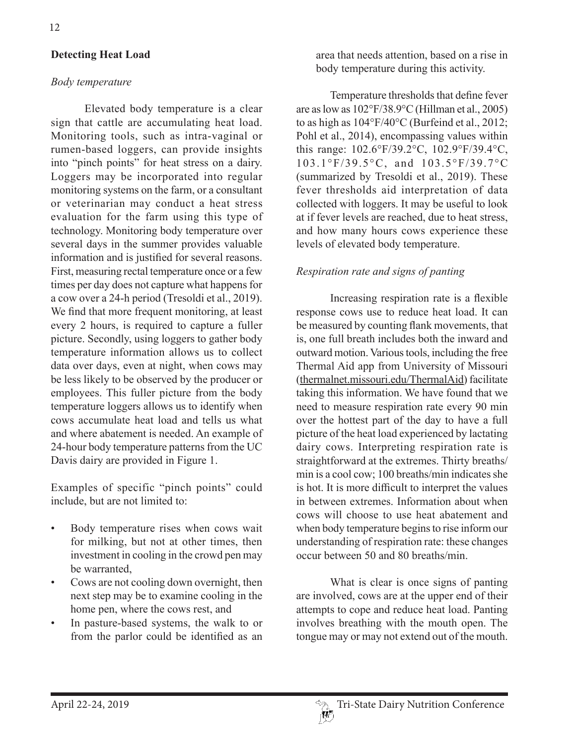## **Detecting Heat Load**

#### *Body temperature*

Elevated body temperature is a clear sign that cattle are accumulating heat load. Monitoring tools, such as intra-vaginal or rumen-based loggers, can provide insights into "pinch points" for heat stress on a dairy. Loggers may be incorporated into regular monitoring systems on the farm, or a consultant or veterinarian may conduct a heat stress evaluation for the farm using this type of technology. Monitoring body temperature over several days in the summer provides valuable information and is justified for several reasons. First, measuring rectal temperature once or a few times per day does not capture what happens for a cow over a 24-h period (Tresoldi et al., 2019). We find that more frequent monitoring, at least every 2 hours, is required to capture a fuller picture. Secondly, using loggers to gather body temperature information allows us to collect data over days, even at night, when cows may be less likely to be observed by the producer or employees. This fuller picture from the body temperature loggers allows us to identify when cows accumulate heat load and tells us what and where abatement is needed. An example of 24-hour body temperature patterns from the UC Davis dairy are provided in Figure 1.

Examples of specific "pinch points" could include, but are not limited to:

- Body temperature rises when cows wait for milking, but not at other times, then investment in cooling in the crowd pen may be warranted,
- Cows are not cooling down overnight, then next step may be to examine cooling in the home pen, where the cows rest, and
- In pasture-based systems, the walk to or from the parlor could be identified as an

area that needs attention, based on a rise in body temperature during this activity.

Temperature thresholds that define fever are as low as 102°F/38.9°C (Hillman et al., 2005) to as high as 104°F/40°C (Burfeind et al., 2012; Pohl et al., 2014), encompassing values within this range: 102.6°F/39.2°C, 102.9°F/39.4°C, 103.1°F/39.5°C, and 103.5°F/39.7°C (summarized by Tresoldi et al., 2019). These fever thresholds aid interpretation of data collected with loggers. It may be useful to look at if fever levels are reached, due to heat stress, and how many hours cows experience these levels of elevated body temperature.

### *Respiration rate and signs of panting*

Increasing respiration rate is a flexible response cows use to reduce heat load. It can be measured by counting flank movements, that is, one full breath includes both the inward and outward motion. Various tools, including the free Thermal Aid app from University of Missouri (thermalnet.missouri.edu/ThermalAid) facilitate taking this information. We have found that we need to measure respiration rate every 90 min over the hottest part of the day to have a full picture of the heat load experienced by lactating dairy cows. Interpreting respiration rate is straightforward at the extremes. Thirty breaths/ min is a cool cow; 100 breaths/min indicates she is hot. It is more difficult to interpret the values in between extremes. Information about when cows will choose to use heat abatement and when body temperature begins to rise inform our understanding of respiration rate: these changes occur between 50 and 80 breaths/min.

What is clear is once signs of panting are involved, cows are at the upper end of their attempts to cope and reduce heat load. Panting involves breathing with the mouth open. The tongue may or may not extend out of the mouth.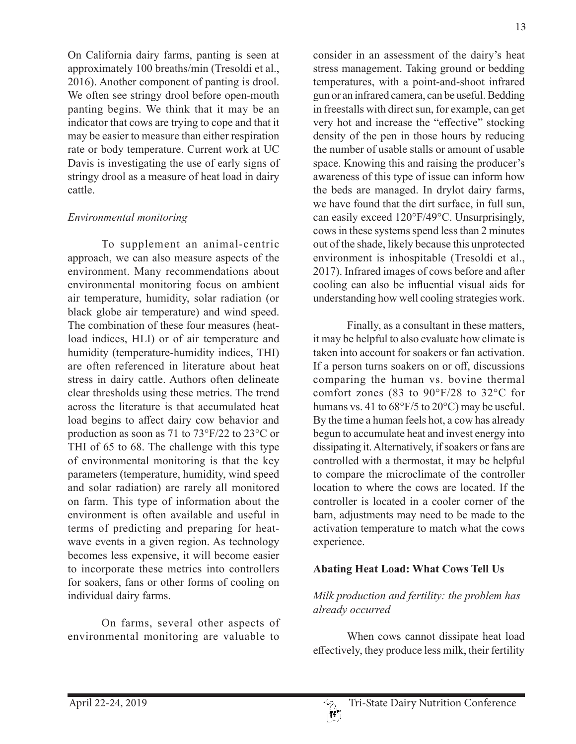On California dairy farms, panting is seen at approximately 100 breaths/min (Tresoldi et al., 2016). Another component of panting is drool. We often see stringy drool before open-mouth panting begins. We think that it may be an indicator that cows are trying to cope and that it may be easier to measure than either respiration rate or body temperature. Current work at UC Davis is investigating the use of early signs of stringy drool as a measure of heat load in dairy cattle.

## *Environmental monitoring*

To supplement an animal-centric approach, we can also measure aspects of the environment. Many recommendations about environmental monitoring focus on ambient air temperature, humidity, solar radiation (or black globe air temperature) and wind speed. The combination of these four measures (heatload indices, HLI) or of air temperature and humidity (temperature-humidity indices, THI) are often referenced in literature about heat stress in dairy cattle. Authors often delineate clear thresholds using these metrics. The trend across the literature is that accumulated heat load begins to affect dairy cow behavior and production as soon as 71 to 73°F/22 to 23°C or THI of 65 to 68. The challenge with this type of environmental monitoring is that the key parameters (temperature, humidity, wind speed and solar radiation) are rarely all monitored on farm. This type of information about the environment is often available and useful in terms of predicting and preparing for heatwave events in a given region. As technology becomes less expensive, it will become easier to incorporate these metrics into controllers for soakers, fans or other forms of cooling on individual dairy farms.

On farms, several other aspects of environmental monitoring are valuable to

consider in an assessment of the dairy's heat stress management. Taking ground or bedding temperatures, with a point-and-shoot infrared gun or an infrared camera, can be useful. Bedding in freestalls with direct sun, for example, can get very hot and increase the "effective" stocking density of the pen in those hours by reducing the number of usable stalls or amount of usable space. Knowing this and raising the producer's awareness of this type of issue can inform how the beds are managed. In drylot dairy farms, we have found that the dirt surface, in full sun, can easily exceed 120°F/49°C. Unsurprisingly, cows in these systems spend less than 2 minutes out of the shade, likely because this unprotected environment is inhospitable (Tresoldi et al., 2017). Infrared images of cows before and after cooling can also be influential visual aids for understanding how well cooling strategies work.

Finally, as a consultant in these matters, it may be helpful to also evaluate how climate is taken into account for soakers or fan activation. If a person turns soakers on or off, discussions comparing the human vs. bovine thermal comfort zones (83 to 90°F/28 to 32°C for humans vs. 41 to  $68^{\circ}F/5$  to  $20^{\circ}C$ ) may be useful. By the time a human feels hot, a cow has already begun to accumulate heat and invest energy into dissipating it. Alternatively, if soakers or fans are controlled with a thermostat, it may be helpful to compare the microclimate of the controller location to where the cows are located. If the controller is located in a cooler corner of the barn, adjustments may need to be made to the activation temperature to match what the cows experience.

## **Abating Heat Load: What Cows Tell Us**

# *Milk production and fertility: the problem has already occurred*

When cows cannot dissipate heat load effectively, they produce less milk, their fertility

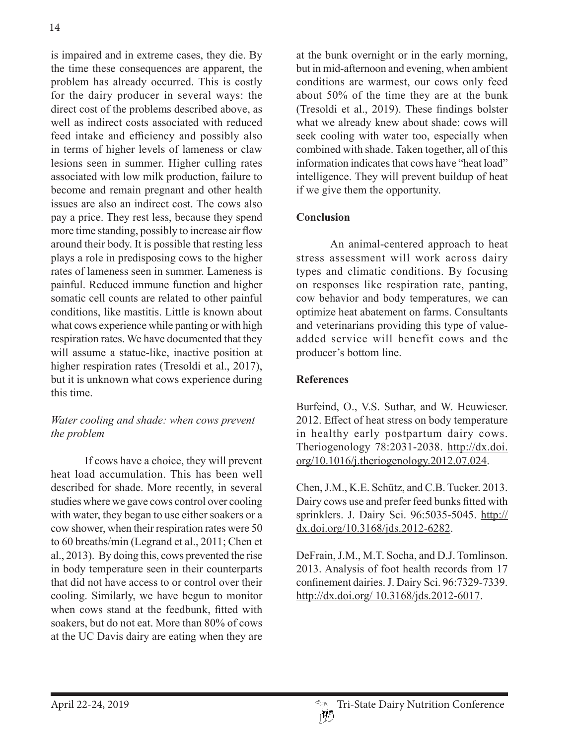is impaired and in extreme cases, they die. By the time these consequences are apparent, the problem has already occurred. This is costly for the dairy producer in several ways: the direct cost of the problems described above, as well as indirect costs associated with reduced feed intake and efficiency and possibly also in terms of higher levels of lameness or claw lesions seen in summer. Higher culling rates associated with low milk production, failure to become and remain pregnant and other health issues are also an indirect cost. The cows also pay a price. They rest less, because they spend more time standing, possibly to increase air flow around their body. It is possible that resting less plays a role in predisposing cows to the higher rates of lameness seen in summer. Lameness is painful. Reduced immune function and higher somatic cell counts are related to other painful conditions, like mastitis. Little is known about what cows experience while panting or with high respiration rates. We have documented that they will assume a statue-like, inactive position at higher respiration rates (Tresoldi et al., 2017), but it is unknown what cows experience during this time.

# *Water cooling and shade: when cows prevent the problem*

If cows have a choice, they will prevent heat load accumulation. This has been well described for shade. More recently, in several studies where we gave cows control over cooling with water, they began to use either soakers or a cow shower, when their respiration rates were 50 to 60 breaths/min (Legrand et al., 2011; Chen et al., 2013). By doing this, cows prevented the rise in body temperature seen in their counterparts that did not have access to or control over their cooling. Similarly, we have begun to monitor when cows stand at the feedbunk, fitted with soakers, but do not eat. More than 80% of cows at the UC Davis dairy are eating when they are

at the bunk overnight or in the early morning, but in mid-afternoon and evening, when ambient conditions are warmest, our cows only feed about 50% of the time they are at the bunk (Tresoldi et al., 2019). These findings bolster what we already knew about shade: cows will seek cooling with water too, especially when combined with shade. Taken together, all of this information indicates that cows have "heat load" intelligence. They will prevent buildup of heat if we give them the opportunity.

## **Conclusion**

An animal-centered approach to heat stress assessment will work across dairy types and climatic conditions. By focusing on responses like respiration rate, panting, cow behavior and body temperatures, we can optimize heat abatement on farms. Consultants and veterinarians providing this type of valueadded service will benefit cows and the producer's bottom line.

# **References**

Burfeind, O., V.S. Suthar, and W. Heuwieser. 2012. Effect of heat stress on body temperature in healthy early postpartum dairy cows. Theriogenology 78:2031-2038. http://dx.doi. org/10.1016/j.theriogenology.2012.07.024.

Chen, J.M., K.E. Schütz, and C.B. Tucker. 2013. Dairy cows use and prefer feed bunks fitted with sprinklers. J. Dairy Sci. 96:5035-5045. http:// dx.doi.org/10.3168/jds.2012-6282.

DeFrain, J.M., M.T. Socha, and D.J. Tomlinson. 2013. Analysis of foot health records from 17 confinement dairies. J. Dairy Sci. 96:7329-7339. http://dx.doi.org/ 10.3168/jds.2012-6017.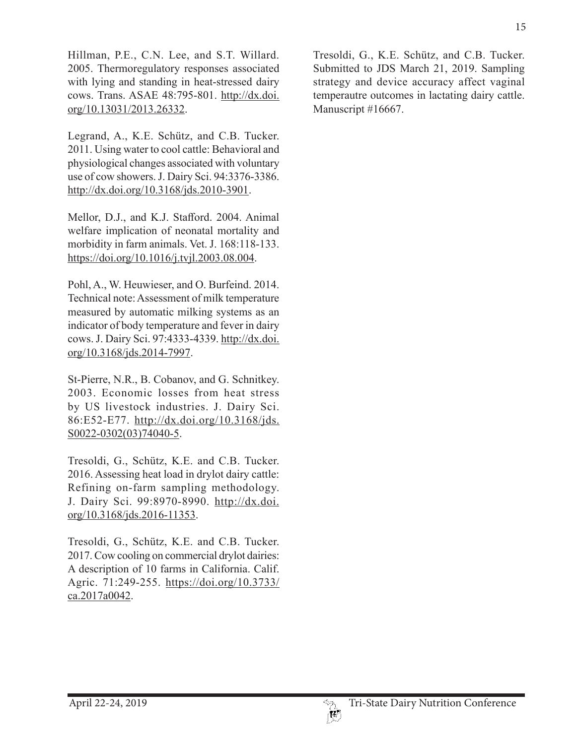Hillman, P.E., C.N. Lee, and S.T. Willard. 2005. Thermoregulatory responses associated with lying and standing in heat-stressed dairy cows. Trans. ASAE 48:795-801. http://dx.doi. org/10.13031/2013.26332.

Legrand, A., K.E. Schütz, and C.B. Tucker. 2011. Using water to cool cattle: Behavioral and physiological changes associated with voluntary use of cow showers. J. Dairy Sci. 94:3376-3386. http://dx.doi.org/10.3168/jds.2010-3901.

Mellor, D.J., and K.J. Stafford. 2004. Animal welfare implication of neonatal mortality and morbidity in farm animals. Vet. J. 168:118-133. https://doi.org/10.1016/j.tvjl.2003.08.004.

Pohl, A., W. Heuwieser, and O. Burfeind. 2014. Technical note: Assessment of milk temperature measured by automatic milking systems as an indicator of body temperature and fever in dairy cows. J. Dairy Sci. 97:4333-4339. http://dx.doi. org/10.3168/jds.2014-7997.

St-Pierre, N.R., B. Cobanov, and G. Schnitkey. 2003. Economic losses from heat stress by US livestock industries. J. Dairy Sci. 86:E52-E77. http://dx.doi.org/10.3168/jds. S0022-0302(03)74040-5.

Tresoldi, G., Schütz, K.E. and C.B. Tucker. 2016. Assessing heat load in drylot dairy cattle: Refining on-farm sampling methodology. J. Dairy Sci. 99:8970-8990. http://dx.doi. org/10.3168/jds.2016-11353.

Tresoldi, G., Schütz, K.E. and C.B. Tucker. 2017. Cow cooling on commercial drylot dairies: A description of 10 farms in California. Calif. Agric. 71:249-255. https://doi.org/10.3733/ ca.2017a0042.

Tresoldi, G., K.E. Schütz, and C.B. Tucker. Submitted to JDS March 21, 2019. Sampling strategy and device accuracy affect vaginal temperautre outcomes in lactating dairy cattle. Manuscript #16667.